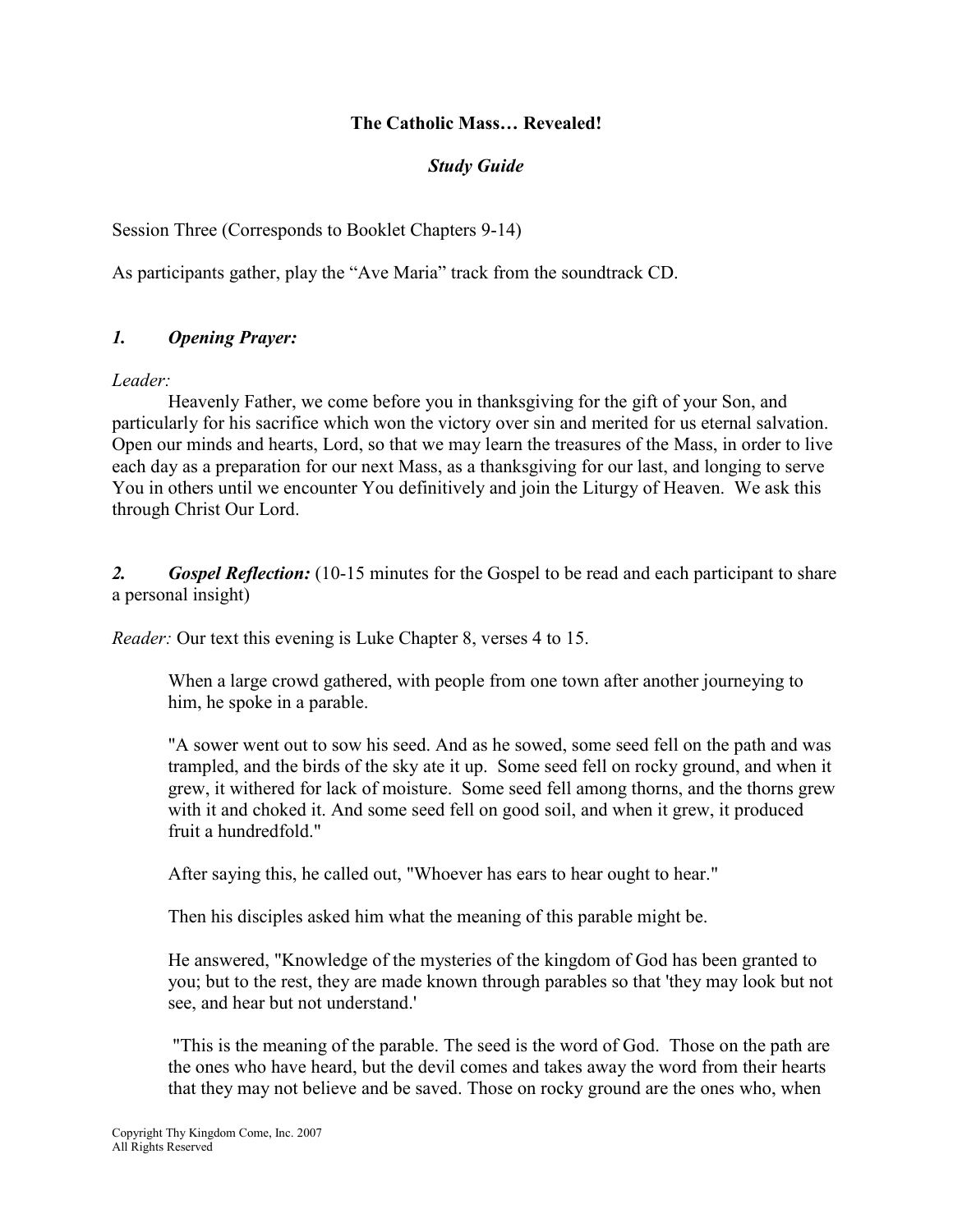# The Catholic Mass… Revealed!

# Study Guide

Session Three (Corresponds to Booklet Chapters 9-14)

As participants gather, play the "Ave Maria" track from the soundtrack CD.

# 1. Opening Prayer:

Leader:

Heavenly Father, we come before you in thanksgiving for the gift of your Son, and particularly for his sacrifice which won the victory over sin and merited for us eternal salvation. Open our minds and hearts, Lord, so that we may learn the treasures of the Mass, in order to live each day as a preparation for our next Mass, as a thanksgiving for our last, and longing to serve You in others until we encounter You definitively and join the Liturgy of Heaven. We ask this through Christ Our Lord.

2. Gospel Reflection: (10-15 minutes for the Gospel to be read and each participant to share a personal insight)

Reader: Our text this evening is Luke Chapter 8, verses 4 to 15.

When a large crowd gathered, with people from one town after another journeying to him, he spoke in a parable.

"A sower went out to sow his seed. And as he sowed, some seed fell on the path and was trampled, and the birds of the sky ate it up. Some seed fell on rocky ground, and when it grew, it withered for lack of moisture. Some seed fell among thorns, and the thorns grew with it and choked it. And some seed fell on good soil, and when it grew, it produced fruit a hundredfold."

After saying this, he called out, "Whoever has ears to hear ought to hear."

Then his disciples asked him what the meaning of this parable might be.

He answered, "Knowledge of the mysteries of the kingdom of God has been granted to you; but to the rest, they are made known through parables so that 'they may look but not see, and hear but not understand.'

 "This is the meaning of the parable. The seed is the word of God. Those on the path are the ones who have heard, but the devil comes and takes away the word from their hearts that they may not believe and be saved. Those on rocky ground are the ones who, when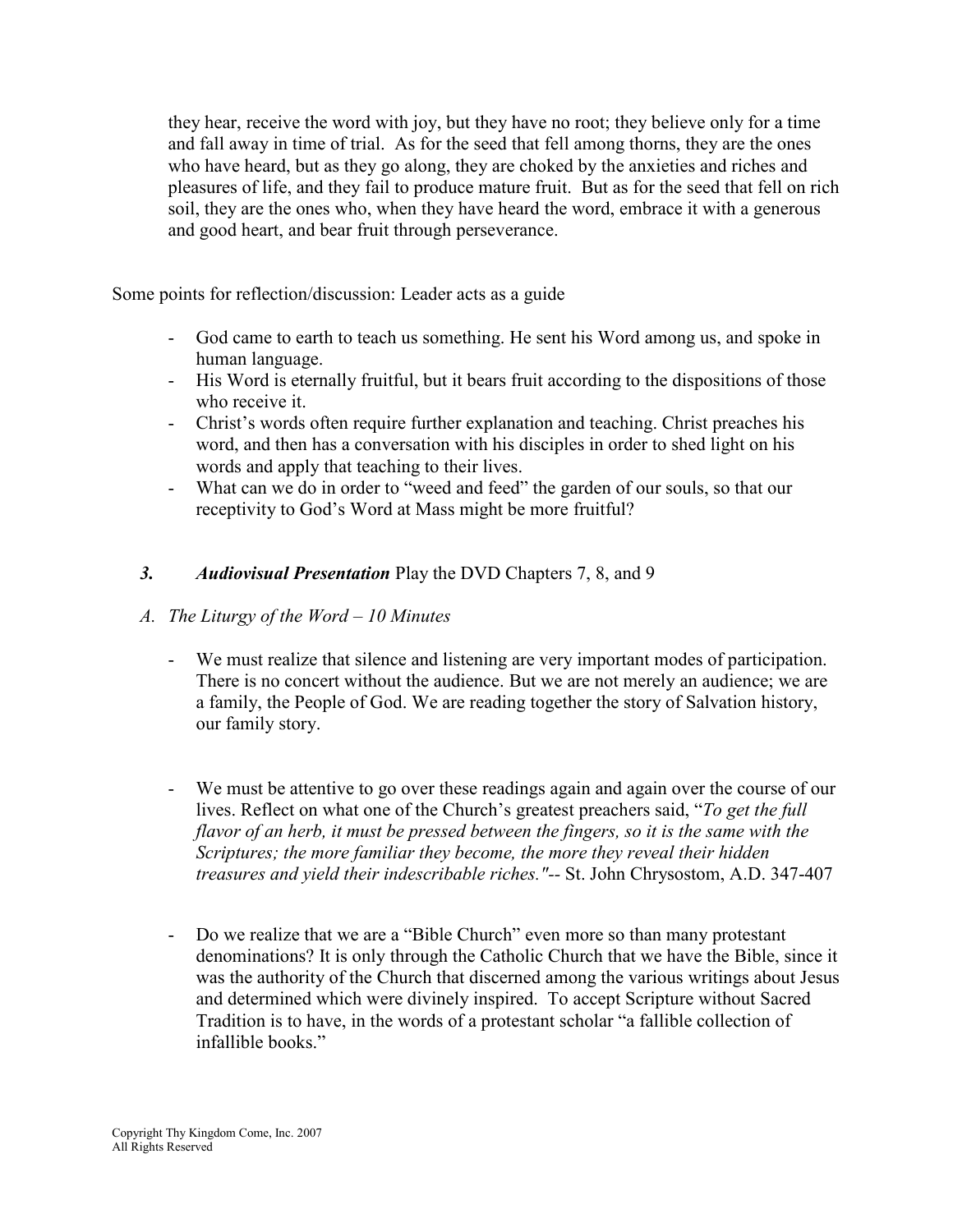they hear, receive the word with joy, but they have no root; they believe only for a time and fall away in time of trial. As for the seed that fell among thorns, they are the ones who have heard, but as they go along, they are choked by the anxieties and riches and pleasures of life, and they fail to produce mature fruit. But as for the seed that fell on rich soil, they are the ones who, when they have heard the word, embrace it with a generous and good heart, and bear fruit through perseverance.

Some points for reflection/discussion: Leader acts as a guide

- God came to earth to teach us something. He sent his Word among us, and spoke in human language.
- His Word is eternally fruitful, but it bears fruit according to the dispositions of those who receive it.
- Christ's words often require further explanation and teaching. Christ preaches his word, and then has a conversation with his disciples in order to shed light on his words and apply that teaching to their lives.
- What can we do in order to "weed and feed" the garden of our souls, so that our receptivity to God's Word at Mass might be more fruitful?
- 3. Audiovisual Presentation Play the DVD Chapters 7, 8, and 9
- A. The Liturgy of the Word 10 Minutes
	- We must realize that silence and listening are very important modes of participation. There is no concert without the audience. But we are not merely an audience; we are a family, the People of God. We are reading together the story of Salvation history, our family story.
	- We must be attentive to go over these readings again and again over the course of our lives. Reflect on what one of the Church's greatest preachers said, "To get the full flavor of an herb, it must be pressed between the fingers, so it is the same with the Scriptures; the more familiar they become, the more they reveal their hidden treasures and yield their indescribable riches."-- St. John Chrysostom, A.D. 347-407
	- Do we realize that we are a "Bible Church" even more so than many protestant denominations? It is only through the Catholic Church that we have the Bible, since it was the authority of the Church that discerned among the various writings about Jesus and determined which were divinely inspired. To accept Scripture without Sacred Tradition is to have, in the words of a protestant scholar "a fallible collection of infallible books."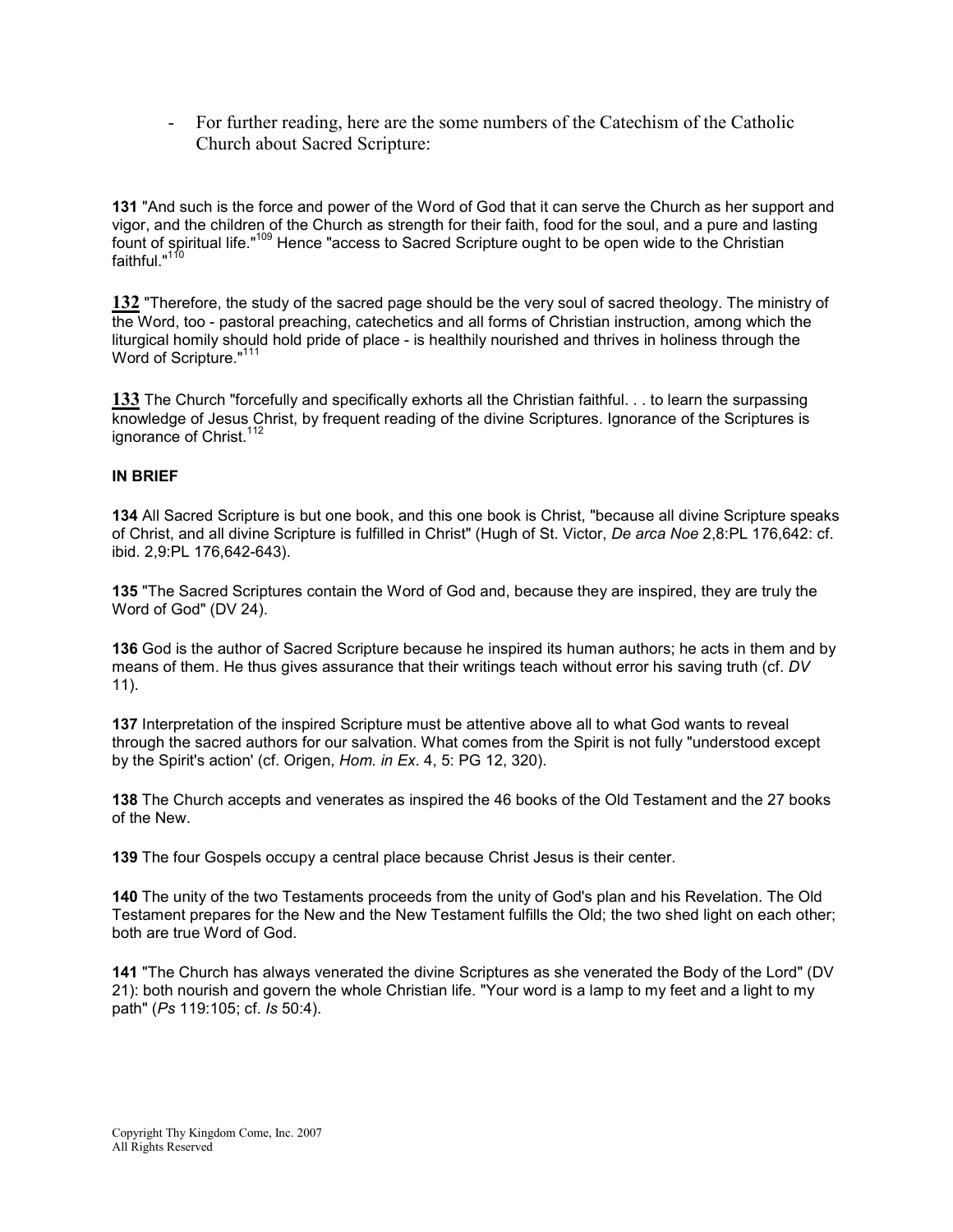- For further reading, here are the some numbers of the Catechism of the Catholic Church about Sacred Scripture:

131 "And such is the force and power of the Word of God that it can serve the Church as her support and vigor, and the children of the Church as strength for their faith, food for the soul, and a pure and lasting fount of spiritual life."<sup>109</sup> Hence "access to Sacred Scripture ought to be open wide to the Christian faithful." $1$ 

132 "Therefore, the study of the sacred page should be the very soul of sacred theology. The ministry of the Word, too - pastoral preaching, catechetics and all forms of Christian instruction, among which the liturgical homily should hold pride of place - is healthily nourished and thrives in holiness through the Word of Scripture."<sup>111</sup>

133 The Church "forcefully and specifically exhorts all the Christian faithful. . . to learn the surpassing knowledge of Jesus Christ, by frequent reading of the divine Scriptures. Ignorance of the Scriptures is ignorance of Christ.<sup>112</sup>

#### IN BRIEF

134 All Sacred Scripture is but one book, and this one book is Christ, "because all divine Scripture speaks of Christ, and all divine Scripture is fulfilled in Christ" (Hugh of St. Victor, De arca Noe 2,8:PL 176,642: cf. ibid. 2,9:PL 176,642-643).

135 "The Sacred Scriptures contain the Word of God and, because they are inspired, they are truly the Word of God" (DV 24).

136 God is the author of Sacred Scripture because he inspired its human authors; he acts in them and by means of them. He thus gives assurance that their writings teach without error his saving truth (cf. DV 11).

137 Interpretation of the inspired Scripture must be attentive above all to what God wants to reveal through the sacred authors for our salvation. What comes from the Spirit is not fully "understood except by the Spirit's action' (cf. Origen, Hom. in Ex. 4, 5: PG 12, 320).

138 The Church accepts and venerates as inspired the 46 books of the Old Testament and the 27 books of the New.

139 The four Gospels occupy a central place because Christ Jesus is their center.

140 The unity of the two Testaments proceeds from the unity of God's plan and his Revelation. The Old Testament prepares for the New and the New Testament fulfills the Old; the two shed light on each other; both are true Word of God.

141 "The Church has always venerated the divine Scriptures as she venerated the Body of the Lord" (DV 21): both nourish and govern the whole Christian life. "Your word is a lamp to my feet and a light to my path" (Ps 119:105; cf. Is 50:4).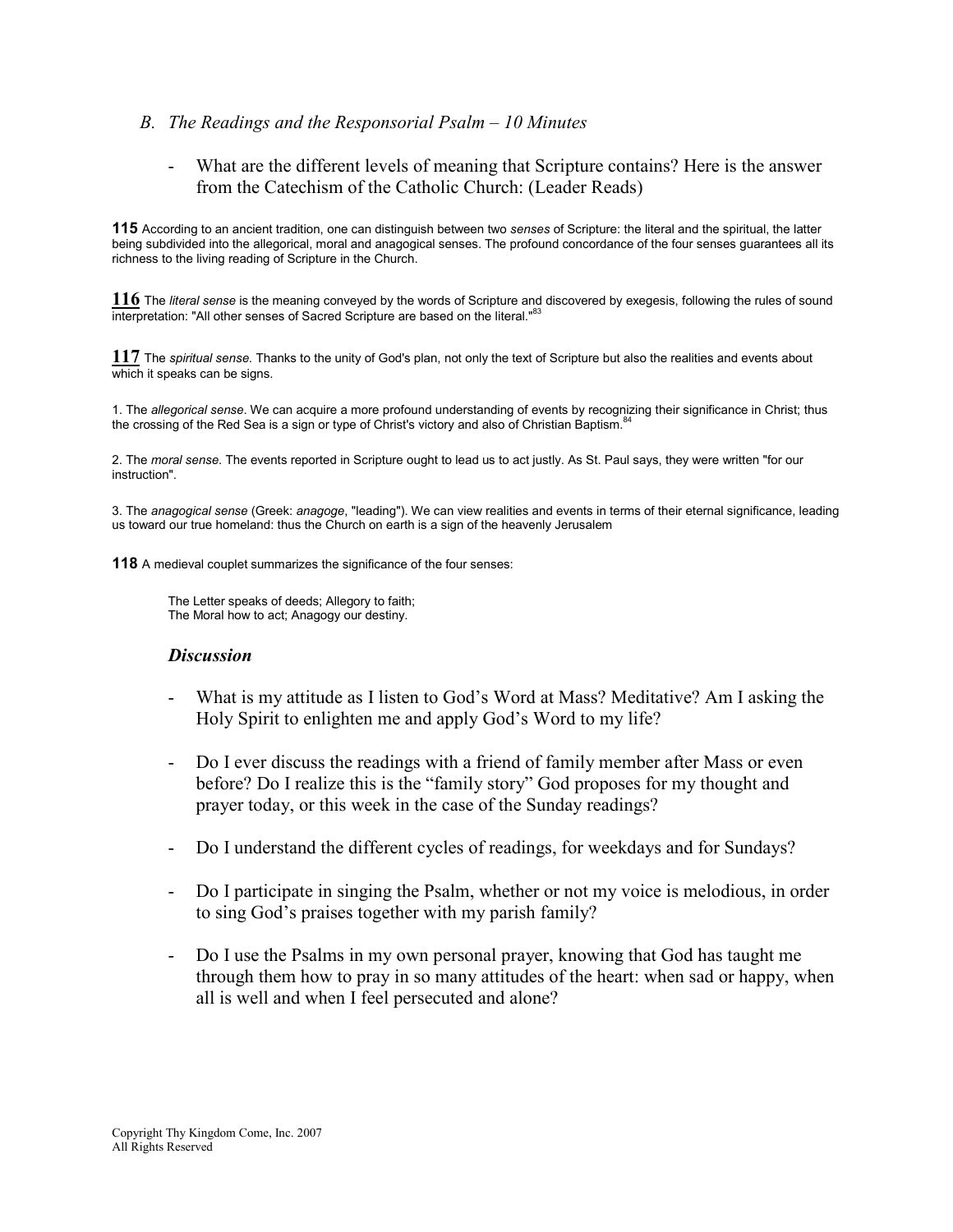### B. The Readings and the Responsorial Psalm – 10 Minutes

- What are the different levels of meaning that Scripture contains? Here is the answer from the Catechism of the Catholic Church: (Leader Reads)

115 According to an ancient tradition, one can distinguish between two senses of Scripture: the literal and the spiritual, the latter being subdivided into the allegorical, moral and anagogical senses. The profound concordance of the four senses guarantees all its richness to the living reading of Scripture in the Church.

 $116$  The literal sense is the meaning conveyed by the words of Scripture and discovered by exegesis, following the rules of sound interpretation: "All other senses of Sacred Scripture are based on the literal."<sup>83</sup>

117 The spiritual sense. Thanks to the unity of God's plan, not only the text of Scripture but also the realities and events about which it speaks can be signs.

1. The allegorical sense. We can acquire a more profound understanding of events by recognizing their significance in Christ; thus the crossing of the Red Sea is a sign or type of Christ's victory and also of Christian Baptism.<sup>8</sup>

2. The moral sense. The events reported in Scripture ought to lead us to act justly. As St. Paul says, they were written "for our instruction".

3. The anagogical sense (Greek: anagoge, "leading"). We can view realities and events in terms of their eternal significance, leading us toward our true homeland: thus the Church on earth is a sign of the heavenly Jerusalem

118 A medieval couplet summarizes the significance of the four senses:

The Letter speaks of deeds; Allegory to faith; The Moral how to act; Anagogy our destiny.

#### **Discussion**

- What is my attitude as I listen to God's Word at Mass? Meditative? Am I asking the Holy Spirit to enlighten me and apply God's Word to my life?
- Do I ever discuss the readings with a friend of family member after Mass or even before? Do I realize this is the "family story" God proposes for my thought and prayer today, or this week in the case of the Sunday readings?
- Do I understand the different cycles of readings, for weekdays and for Sundays?
- Do I participate in singing the Psalm, whether or not my voice is melodious, in order to sing God's praises together with my parish family?
- Do I use the Psalms in my own personal prayer, knowing that God has taught me through them how to pray in so many attitudes of the heart: when sad or happy, when all is well and when I feel persecuted and alone?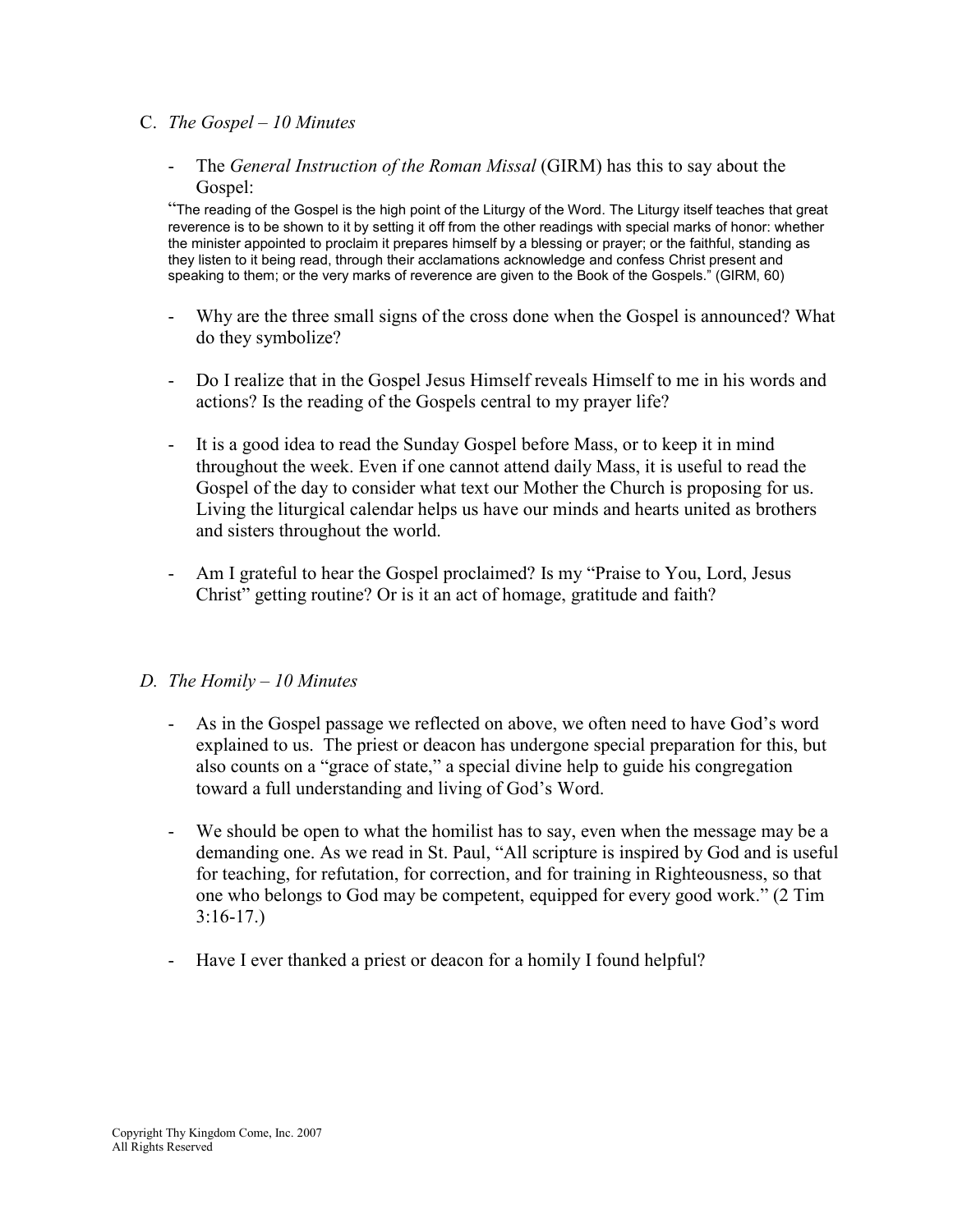### C. The Gospel – 10 Minutes

- The *General Instruction of the Roman Missal* (GIRM) has this to say about the Gospel:

"The reading of the Gospel is the high point of the Liturgy of the Word. The Liturgy itself teaches that great reverence is to be shown to it by setting it off from the other readings with special marks of honor: whether the minister appointed to proclaim it prepares himself by a blessing or prayer; or the faithful, standing as they listen to it being read, through their acclamations acknowledge and confess Christ present and speaking to them; or the very marks of reverence are given to the Book of the Gospels." (GIRM, 60)

- Why are the three small signs of the cross done when the Gospel is announced? What do they symbolize?
- Do I realize that in the Gospel Jesus Himself reveals Himself to me in his words and actions? Is the reading of the Gospels central to my prayer life?
- It is a good idea to read the Sunday Gospel before Mass, or to keep it in mind throughout the week. Even if one cannot attend daily Mass, it is useful to read the Gospel of the day to consider what text our Mother the Church is proposing for us. Living the liturgical calendar helps us have our minds and hearts united as brothers and sisters throughout the world.
- Am I grateful to hear the Gospel proclaimed? Is my "Praise to You, Lord, Jesus Christ" getting routine? Or is it an act of homage, gratitude and faith?

### D. The Homily – 10 Minutes

- As in the Gospel passage we reflected on above, we often need to have God's word explained to us. The priest or deacon has undergone special preparation for this, but also counts on a "grace of state," a special divine help to guide his congregation toward a full understanding and living of God's Word.
- We should be open to what the homilist has to say, even when the message may be a demanding one. As we read in St. Paul, "All scripture is inspired by God and is useful for teaching, for refutation, for correction, and for training in Righteousness, so that one who belongs to God may be competent, equipped for every good work." (2 Tim 3:16-17.)
- Have I ever thanked a priest or deacon for a homily I found helpful?